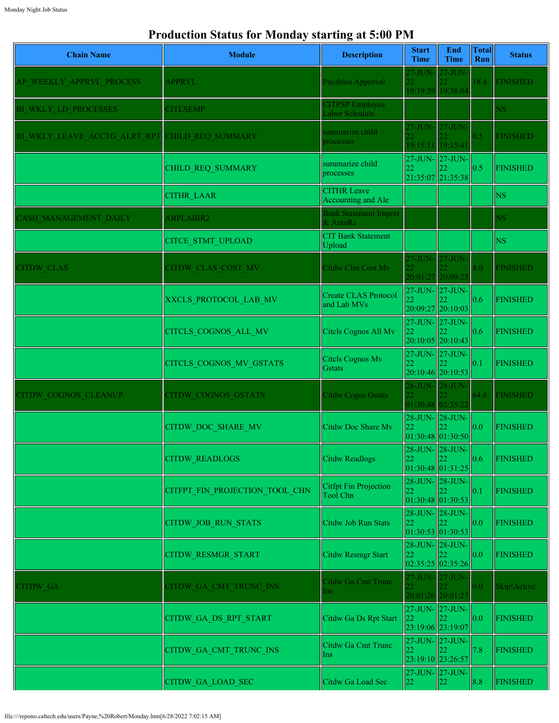## **Production Status for Monday starting at 5:00 PM**

| <b>Chain Name</b>            | <b>Module</b>                  | <b>Description</b>                         | <b>Start</b><br><b>Time</b>                           | End<br><b>Time</b>    | <b>Total</b><br>Run | <b>Status</b>          |
|------------------------------|--------------------------------|--------------------------------------------|-------------------------------------------------------|-----------------------|---------------------|------------------------|
| AP WEEKLY APPRVL PROCESS     | <b>APPRVL</b>                  | Payables Approval                          | $27$ -JUN-<br>22<br>19:19:39 19:38:04                 | $27 - JUN$            | 18.4                | <b>FINISHED</b>        |
| BI WKLY LD PROCESSES         | <b>CITLSEMP</b>                | <b>CITPSP</b> Employee<br>Labor Schedule   |                                                       |                       |                     | <b>NS</b>              |
| BI WKLY LEAVE ACCTG ALRT RPT | CHILD REQ SUMMARY              | summarize child<br>processes               | 27-JUN- 27-JUN<br>$\overline{2}$<br>19:15:11 19:15:41 |                       | 0.5                 | <b>FINISHED</b>        |
|                              | CHILD_REQ_SUMMARY              | summarize child<br>processes               | 27-JUN- 27-JUN-<br>22                                 | 21:35:07 21:35:38     | 0.5                 | <b>FINISHED</b>        |
|                              | <b>CITHR LAAR</b>              | <b>CITHR Leave</b><br>Accounting and Ale   |                                                       |                       |                     | <b>NS</b>              |
| <b>ASH MANAGEMENT DAILY</b>  | <b>ARPLABIR2</b>               | <b>Bank Statement Import</b><br>& AutoRe   |                                                       |                       |                     | $\overline{\text{NS}}$ |
|                              | <b>CITCE STMT UPLOAD</b>       | <b>CIT Bank Statement</b><br>Upload        |                                                       |                       |                     | <b>NS</b>              |
| <b>CITDW CLAS</b>            | <b>CITDW CLAS COST MV</b>      | Citdw Clas Cost Mv                         | 27-JUN- 27-JUN-<br>20:01:27 20:09:25                  |                       | 8.0                 | <b>FINISHED</b>        |
|                              | XXCLS PROTOCOL LAB MV          | <b>Create CLAS Protocol</b><br>and Lab MVs | 27-JUN- 27-JUN-<br>22<br>20:09:27 20:10:03            |                       | 0.6                 | <b>FINISHED</b>        |
|                              | CITCLS COGNOS ALL MV           | Citels Cognos All Mv                       | 27-JUN- 27-JUN-<br>22<br>20:10:05 20:10:43            |                       | 0.6                 | <b>FINISHED</b>        |
|                              | CITCLS COGNOS MV GSTATS        | Citels Cognos Mv<br>Gstats                 | 27-JUN- 27-JUN-<br>22                                 | 20:10:46 20:10:53     | 0.1                 | <b>FINISHED</b>        |
| <b>CITDW COGNOS CLEANUP</b>  | <b>CITDW COGNOS GSTATS</b>     | <b>Citdw Cogos Gstats</b>                  | 28-JUN- 28-JUN<br>01:30:48 02:35:22                   |                       | 64.6                | <b>FINISHED</b>        |
|                              | <b>CITDW DOC SHARE MV</b>      | Citdw Doc Share Mv                         | 28-JUN- 28-JUN-<br>22                                 | 01:30:48 01:30:50     | 0.0                 | <b>FINISHED</b>        |
|                              | <b>CITDW READLOGS</b>          | Citdw Readlogs                             | 22<br>01:30:48 01:31:25                               | 28-JUN- 28-JUN-<br>22 | 0.6                 | <b>FINISHED</b>        |
|                              | CITFPT FIN PROJECTION TOOL CHN | Citfpt Fin Projection<br>Tool Chn          | 28-JUN-28-JUN-<br>22<br>01:30:48 01:30:53             | 22                    | 0.1                 | <b>FINISHED</b>        |
|                              | <b>CITDW JOB RUN STATS</b>     | Citdw Job Run Stats                        | 28-JUN-28-JUN-<br>22<br> 01:30:53 01:30:53            |                       | 0.0                 | <b>FINISHED</b>        |
|                              | <b>CITDW RESMGR START</b>      | <b>Citdw Resmgr Start</b>                  | 28-JUN-28-JUN-<br>22                                  | 02:35:25 02:35:26     | 0.0                 | <b>FINISHED</b>        |
| <b>ITDW GA</b>               | CITDW GA CMT TRUNC INS         | Citdw Ga Cmt Trunc<br>Ins                  | 27-JUN- 27-JUN-<br>20:01:26 20:01:27                  |                       | 0.0                 | Skip!Active            |
|                              | CITDW_GA_DS_RPT_START          | Citdw Ga Ds Rpt Start                      | 27-JUN-27-JUN-<br>22<br>23:19:06 23:19:07             |                       | 0.0                 | <b>FINISHED</b>        |
|                              | CITDW_GA_CMT_TRUNC_INS         | Citdw Ga Cmt Trunc<br>Ins                  | 27-JUN- 27-JUN-<br>22<br>23:19:10 23:26:57            |                       | 7.8                 | <b>FINISHED</b>        |
|                              | <b>CITDW GA LOAD SEC</b>       | Citdw Ga Load Sec                          | 22                                                    | 27-JUN- 27-JUN-<br>22 | 8.8                 | <b>FINISHED</b>        |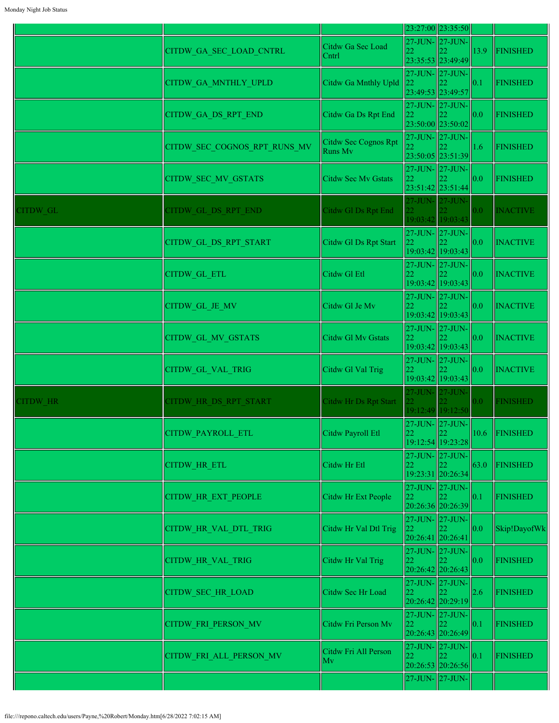|                 |                              |                                        |                                                                             | 23:27:00 23:35:50                                |                 |                 |
|-----------------|------------------------------|----------------------------------------|-----------------------------------------------------------------------------|--------------------------------------------------|-----------------|-----------------|
|                 | CITDW GA SEC LOAD CNTRL      | Citdw Ga Sec Load<br>Cntrl             |                                                                             | $27$ -JUN- $\vert 27$ -JUN-<br>23:35:53 23:49:49 | 13.9            | <b>FINISHED</b> |
|                 | CITDW_GA_MNTHLY_UPLD         | Citdw Ga Mnthly Upld                   | 22                                                                          | 27-JUN- 27-JUN-<br>23:49:53 23:49:57             | $\parallel$ 0.1 | <b>FINISHED</b> |
|                 | CITDW_GA_DS_RPT_END          | Citdw Ga Ds Rpt End                    | 22                                                                          | 27-JUN- 27-JUN-<br>23:50:00 23:50:02             | 0.0             | <b>FINISHED</b> |
|                 | CITDW SEC COGNOS RPT RUNS MV | Citdw Sec Cognos Rpt<br><b>Runs Mv</b> |                                                                             | $27$ -JUN- $27$ -JUN-<br>23:50:05 23:51:39       | 1.6             | <b>FINISHED</b> |
|                 | CITDW_SEC_MV_GSTATS          | Citdw Sec My Gstats                    | 22                                                                          | $27$ -JUN- $ 27$ -JUN-<br>23:51:42 23:51:44      | 0.0             | <b>FINISHED</b> |
| CITDW GL        | CITDW GL DS RPT END          | Citdw Gl Ds Rpt End                    | 27-JUN- 27-JUN-                                                             | 19:03:42 19:03:43                                | 0.0             | <b>INACTIVE</b> |
|                 | CITDW GL DS RPT START        | Citdw Gl Ds Rpt Start                  | 22                                                                          | 27-JUN- 27-JUN-<br>19:03:42 19:03:43             | 0.0             | <b>INACTIVE</b> |
|                 | <b>CITDW GL ETL</b>          | Citdw Gl Etl                           | 22                                                                          | $27$ -JUN- $\vert 27$ -JUN-<br>19:03:42 19:03:43 | 0.0             | <b>INACTIVE</b> |
|                 | CITDW_GL_JE_MV               | Citdw Gl Je Mv                         | 22                                                                          | $27$ -JUN- $\vert 27$ -JUN-<br>19:03:42 19:03:43 | 0.0             | <b>INACTIVE</b> |
|                 | <b>CITDW GL MV GSTATS</b>    | <b>Citdw Gl Mv Gstats</b>              |                                                                             | 27-JUN- 27-JUN-<br>19:03:42 19:03:43             | 0.0             | <b>INACTIVE</b> |
|                 | <b>CITDW GL VAL TRIG</b>     | Citdw Gl Val Trig                      | 22                                                                          | $27$ -JUN- $\vert 27$ -JUN-<br>19:03:42 19:03:43 | 0.0             | <b>INACTIVE</b> |
| <b>CITDW HR</b> | CITDW HR DS RPT START        | Citdw Hr Ds Rpt Start                  |                                                                             | 27-JUN- 27-JUN-<br>19:12:49 19:12:50             | 0.0             | <b>FINISHED</b> |
|                 | CITDW PAYROLL ETL            | Citdw Payroll Etl                      | 22                                                                          | 27-JUN- 27-JUN-<br>19:12:54 19:23:28             |                 | 10.6 FINISHED   |
|                 | <b>CITDW HR ETL</b>          | Citdw Hr Etl                           | 22                                                                          | 27-JUN-27-JUN-<br>19:23:31 20:26:34              | 63.0            | <b>FINISHED</b> |
|                 | <b>CITDW HR EXT PEOPLE</b>   | Citdw Hr Ext People                    | 22                                                                          | 27-JUN- 27-JUN-<br>20:26:36 20:26:39             | 0.1             | <b>FINISHED</b> |
|                 | CITDW_HR_VAL_DTL_TRIG        | Citdw Hr Val Dtl Trig                  | $\begin{array}{ c c }\n 27-JUN-27-JUN-22\n\end{array}$<br>20:26:41 20:26:41 |                                                  | 0.0             | Skip!DayofWk    |
|                 | <b>CITDW HR VAL TRIG</b>     | Citdw Hr Val Trig                      | 22                                                                          | $27$ -JUN- $\vert 27$ -JUN-<br>20:26:42 20:26:43 | 0.0             | <b>FINISHED</b> |
|                 | <b>CITDW SEC HR LOAD</b>     | Citdw Sec Hr Load                      | 22                                                                          | 27-JUN- 27-JUN-<br>20:26:42 20:29:19             | 2.6             | <b>FINISHED</b> |
|                 | CITDW_FRI_PERSON_MV          | Citdw Fri Person Mv                    | 22                                                                          | $27$ -JUN- $\vert 27$ -JUN-<br>20:26:43 20:26:49 | 0.1             | <b>FINISHED</b> |
|                 | CITDW_FRI_ALL_PERSON_MV      | Citdw Fri All Person<br>Mv             |                                                                             | 27-JUN- 27-JUN-<br>20:26:53 20:26:56             | $\vert$ 0.1     | <b>FINISHED</b> |
|                 |                              |                                        |                                                                             | 27-JUN- 27-JUN-                                  |                 |                 |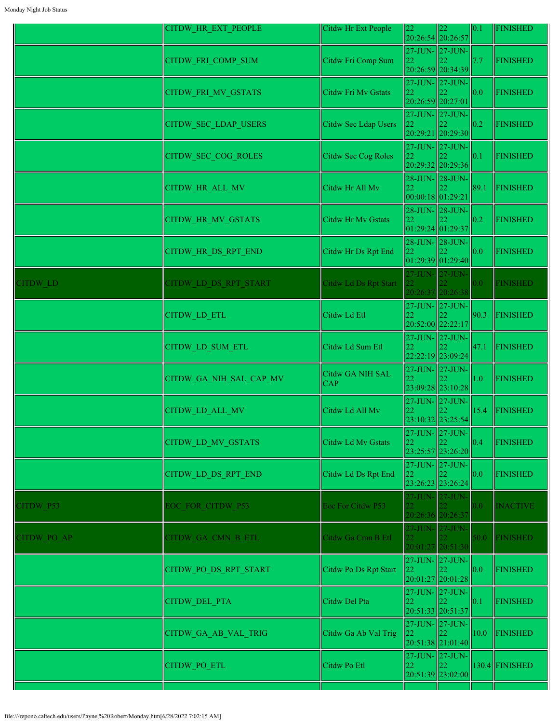|             | CITDW HR EXT PEOPLE        | Citdw Hr Ext People     | 22                      | 22<br>20:26:54 20:26:57                          | 0.1              | <b>FINISHED</b>  |
|-------------|----------------------------|-------------------------|-------------------------|--------------------------------------------------|------------------|------------------|
|             | CITDW_FRI_COMP_SUM         | Citdw Fri Comp Sum      | 22                      | 27-JUN- 27-JUN-<br>20:26:59 20:34:39             | 7.7              | <b>FINISHED</b>  |
|             | CITDW_FRI_MV_GSTATS        | Citdw Fri Mv Gstats     | 22<br>20:26:59 20:27:01 | 27-JUN- 27-JUN-                                  | 0.0              | <b>FINISHED</b>  |
|             | CITDW_SEC_LDAP_USERS       | Citdw Sec Ldap Users    | 22                      | 27-JUN- 27-JUN-<br>20:29:21 20:29:30             | 0.2              | <b>FINISHED</b>  |
|             | <b>CITDW SEC COG ROLES</b> | Citdw Sec Cog Roles     | 22                      | 27-JUN- 27-JUN-<br>20:29:32 20:29:36             | 0.1              | <b>FINISHED</b>  |
|             | CITDW_HR_ALL_MV            | Citdw Hr All Mv         | 22<br>00:00:18 01:29:21 | 28-JUN- 28-JUN-                                  | 89.1             | <b>FINISHED</b>  |
|             | <b>CITDW HR MV GSTATS</b>  | Citdw Hr Mv Gstats      | 22                      | 28-JUN- 28-JUN-<br>01:29:24 01:29:37             | 0.2              | <b>FINISHED</b>  |
|             | <b>CITDW HR DS RPT END</b> | Citdw Hr Ds Rpt End     | 22                      | 28-JUN- 28-JUN-<br> 01:29:39 01:29:40            | 0.0              | <b>FINISHED</b>  |
| CITDW LD    | CITDW LD DS RPT START      | Citdw Ld Ds Rpt Start   |                         | 27-JUN- 27-JUN-<br>20:26:37 20:26:38             | 0.0 <sub>1</sub> | <b>FINISHED</b>  |
|             | <b>CITDW LD ETL</b>        | Citdw Ld Etl            | 22                      | 27-JUN- 27-JUN-<br>20:52:00 22:22:17             | 90.3             | <b>FINISHED</b>  |
|             | CITDW LD SUM ETL           | Citdw Ld Sum Etl        | 22                      | $27$ -JUN- $\vert 27$ -JUN-<br>22:22:19 23:09:24 | 47.1             | <b>FINISHED</b>  |
|             | CITDW_GA_NIH_SAL_CAP_MV    | Citdw GA NIH SAL<br>CAP |                         | 27-JUN- 27-JUN-<br>23:09:28 23:10:28             | 1.0              | <b>FINISHED</b>  |
|             | CITDW_LD_ALL_MV            | Citdw Ld All Mv         | 22                      | 27-JUN- 27-JUN-<br>23:10:32 23:25:54             | 15.4             | <b>FINISHED</b>  |
|             | CITDW LD MV GSTATS         | Citdw Ld Mv Gstats      | 22                      | 27-JUN- 27-JUN-<br>23:25:57 23:26:20             | 0.4              | <b>FINISHED</b>  |
|             | CITDW LD DS RPT END        | Citdw Ld Ds Rpt End     | 22                      | 27-JUN- 27-JUN-<br>23:26:23 23:26:24             | 0.0              | <b>FINISHED</b>  |
| CITDW P53   | EOC FOR CITDW P53          | Eoc For Citdw P53       |                         | 27-JUN- 27-JUN-<br>20:26:36 20:26:37             | 0.0              | <b>INACTIVE</b>  |
| CITDW PO AP | CITDW GA CMN B ETL         | Citdw Ga Cmn B Etl      | 22.                     | 27-JUN- 27-JUN-<br>20:01:27 20:51:30             | 50.0             | <b>FINISHED</b>  |
|             | CITDW_PO_DS_RPT_START      | Citdw Po Ds Rpt Start   | 22                      | 27-JUN- 27-JUN-<br>20:01:27 20:01:28             | 0.0              | <b>FINISHED</b>  |
|             | <b>CITDW DEL PTA</b>       | Citdw Del Pta           | 22                      | 27-JUN- 27-JUN-<br>20:51:33 20:51:37             | 0.1              | <b>FINISHED</b>  |
|             | CITDW_GA_AB_VAL_TRIG       | Citdw Ga Ab Val Trig    | 22                      | 27-JUN- 27-JUN-<br> 20:51:38 21:01:40            | 10.0             | <b>FINISHED</b>  |
|             | <b>CITDW PO ETL</b>        | Citdw Po Etl            | 22                      | 27-JUN- 27-JUN-<br>22.<br>20:51:39 23:02:00      |                  | $130.4$ FINISHED |
|             |                            |                         |                         |                                                  |                  |                  |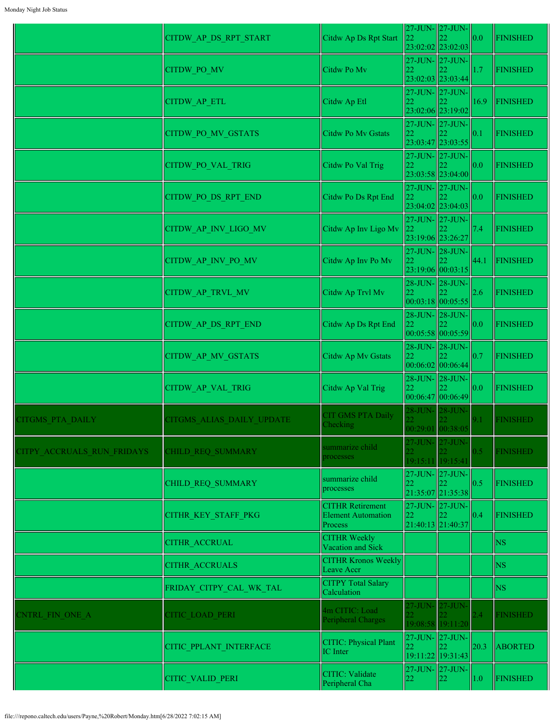|                            | CITDW_AP_DS_RPT_START     | Citdw Ap Ds Rpt Start                                           | 22              | 27-JUN-27-JUN-<br>23:02:02 23:02:03                                   | 0.0  | <b>FINISHED</b> |
|----------------------------|---------------------------|-----------------------------------------------------------------|-----------------|-----------------------------------------------------------------------|------|-----------------|
|                            | CITDW_PO_MV               | Citdw Po Mv                                                     | 22              | 27-JUN- 27-JUN-<br>23:02:03 23:03:44                                  | 1.7  | FINISHED        |
|                            | CITDW_AP_ETL              | Citdw Ap Etl                                                    | 22              | 27-JUN- 27-JUN-                                                       | 16.9 | FINISHED        |
|                            | <b>CITDW PO MV GSTATS</b> | Citdw Po Mv Gstats                                              | 22              | 23:02:06 23:19:02<br>$27$ -JUN- $\vert 27$ -JUN-                      | 0.1  | <b>FINISHED</b> |
|                            | CITDW_PO_VAL_TRIG         | Citdw Po Val Trig                                               | <u>22</u>       | 23:03:47 23:03:55<br>$27$ -JUN- $\vert 27$ -JUN-<br>23:03:58 23:04:00 | 0.0  | <b>FINISHED</b> |
|                            | CITDW_PO_DS_RPT_END       | Citdw Po Ds Rpt End                                             | 22              | 27-JUN- 27-JUN-<br>23:04:02 23:04:03                                  | 0.0  | <b>FINISHED</b> |
|                            | CITDW AP INV LIGO MV      | Citdw Ap Inv Ligo Mv                                            | 22              | 27-JUN- 27-JUN-<br>23:19:06 23:26:27                                  | 7.4  | <b>FINISHED</b> |
|                            | CITDW AP INV PO MV        | Citdw Ap Inv Po Mv                                              | 22              | $27$ -JUN- $28$ -JUN-<br>23:19:06 00:03:15                            | 44.1 | FINISHED        |
|                            | CITDW AP TRVL MV          | Citdw Ap Trvl Mv                                                | 22              | 28-JUN- 28-JUN-<br>00:03:18 00:05:55                                  | 2.6  | <b>FINISHED</b> |
|                            | CITDW_AP_DS_RPT_END       | Citdw Ap Ds Rpt End                                             | 22              | 28-JUN-28-JUN-<br> 00:05:58 00:05:59                                  | 0.0  | <b>FINISHED</b> |
|                            | CITDW_AP_MV_GSTATS        | Citdw Ap Mv Gstats                                              |                 | 28-JUN- 28-JUN-<br> 00:06:02 00:06:44                                 | 0.7  | <b>FINISHED</b> |
|                            | <b>CITDW AP VAL TRIG</b>  | Citdw Ap Val Trig                                               | 22              | 28-JUN-28-JUN-<br> 00:06:47 00:06:49                                  | 0.0  | <b>FINISHED</b> |
| CITGMS PTA DAILY           | CITGMS ALIAS DAILY UPDATE | <b>CIT GMS PTA Daily</b><br>Checking                            |                 | 28-JUN- 28-JUN-<br>00:29:01 00:38:05                                  | 9.1  | <b>FINISHED</b> |
| CITPY ACCRUALS RUN FRIDAYS | CHILD REQ SUMMARY         | summarize child<br>processes                                    |                 | 27-JUN- 27-JUN-<br>19:15:11 19:15:41                                  | 0.5  | <b>FINISHED</b> |
|                            | <b>CHILD REQ SUMMARY</b>  | summarize child<br>processes                                    | 22              | 27-JUN-27-JUN-<br>21:35:07 21:35:38                                   | 0.5  | <b>FINISHED</b> |
|                            | CITHR KEY STAFF PKG       | <b>CITHR Retirement</b><br><b>Element Automation</b><br>Process | 22              | $27$ -JUN- $\vert 27$ -JUN-<br>21:40:13 21:40:37                      | 0.4  | <b>FINISHED</b> |
|                            | <b>CITHR ACCRUAL</b>      | <b>CITHR Weekly</b><br>Vacation and Sick                        |                 |                                                                       |      | <b>NS</b>       |
|                            | <b>CITHR ACCRUALS</b>     | <b>CITHR Kronos Weekly</b><br>Leave Accr                        |                 |                                                                       |      | <b>NS</b>       |
|                            | FRIDAY_CITPY_CAL_WK_TAL   | <b>CITPY Total Salary</b><br>Calculation                        |                 |                                                                       |      | <b>NS</b>       |
| <b>ENTRL FIN ONE A</b>     | <b>CITIC LOAD PERI</b>    | 4m CITIC: Load<br>Peripheral Charges                            | 22 <sup>2</sup> | 27-JUN- 27-JUN-<br>19:08:58 19:11:20                                  | 2.4  | <b>FINISHED</b> |
|                            | CITIC PPLANT INTERFACE    | <b>CITIC: Physical Plant</b><br><b>IC</b> Inter                 | 22              | $27$ -JUN- $\vert 27$ -JUN-<br>19:11:22 19:31:43                      | 20.3 | <b>ABORTED</b>  |
|                            | CITIC VALID PERI          | <b>CITIC: Validate</b><br>Peripheral Cha                        | 22              | 27-JUN- 27-JUN-<br>22                                                 | 1.0  | <b>FINISHED</b> |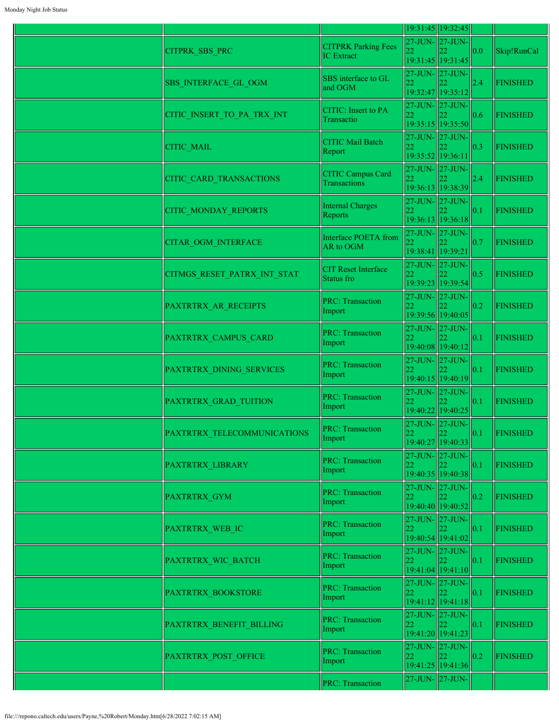|                             |                                                 |                                      | 19:31:45 19:32:45                                |                   |                 |
|-----------------------------|-------------------------------------------------|--------------------------------------|--------------------------------------------------|-------------------|-----------------|
| CITPRK_SBS_PRC              | <b>CITPRK Parking Fees</b><br><b>IC</b> Extract | 27-JUN- 27-JUN-                      | 19:31:45 19:31:45                                | $\parallel$ 0.0   | Skip!RunCal     |
| <b>SBS INTERFACE GL OGM</b> | SBS interface to GL<br>and OGM                  |                                      | 27-JUN-27-JUN-<br>19:32:47 19:35:12              | 2.4               | <b>FINISHED</b> |
| CITIC INSERT TO PA TRX INT  | CITIC: Insert to PA<br>Transactio               |                                      | $27$ -JUN- $ 27$ -JUN- $ $<br>19:35:15 19:35:50  | 0.6               | <b>FINISHED</b> |
| CITIC_MAIL                  | <b>CITIC Mail Batch</b><br>Report               | 22<br>19:35:52 19:36:11              | $27$ -JUN- $ 27$ -JUN- $ $                       | 0.3               | <b>FINISHED</b> |
| CITIC_CARD_TRANSACTIONS     | <b>CITIC Campus Card</b><br><b>Transactions</b> | $27$ -JUN- $\vert 27$ -JUN-<br>22    | 19:36:13 19:38:39                                | 2.4               | <b>FINISHED</b> |
| CITIC_MONDAY_REPORTS        | <b>Internal Charges</b><br>Reports              | 22                                   | $27$ -JUN- $\vert 27$ -JUN-<br>19:36:13 19:36:18 | 0.1               | <b>FINISHED</b> |
| <b>CITAR OGM INTERFACE</b>  | Interface POETA from<br>AR to OGM               | 27-JUN- 27-JUN-<br>19:38:41 19:39:21 |                                                  | 0.7               | <b>FINISHED</b> |
| CITMGS_RESET_PATRX_INT_STAT | <b>CIT Reset Interface</b><br>Status fro        | 27-JUN-27-JUN-<br>22                 | 19:39:23 19:39:54                                | 0.5               | <b>FINISHED</b> |
| PAXTRTRX_AR_RECEIPTS        | <b>PRC: Transaction</b><br>Import               |                                      | 27-JUN- 27-JUN-<br>19:39:56 19:40:05             | 0.2               | <b>FINISHED</b> |
| PAXTRTRX CAMPUS CARD        | <b>PRC: Transaction</b><br>Import               | $\overline{22}$                      | 27-JUN-27-JUN-<br>19:40:08 19:40:12              | 0.1               | <b>FINISHED</b> |
| PAXTRTRX DINING SERVICES    | <b>PRC: Transaction</b><br>Import               |                                      | 27-JUN-27-JUN-<br>19:40:15 19:40:19              | 0.1               | <b>FINISHED</b> |
| PAXTRTRX GRAD TUITION       | <b>PRC: Transaction</b><br>Import               |                                      | 27-JUN-27-JUN-<br>19:40:22 19:40:25              | $\ 0.1$           | <b>FINISHED</b> |
| PAXTRTRX TELECOMMUNICATIONS | <b>PRC: Transaction</b><br>Import               | 27-JUN-27-JUN-<br>22                 | 19:40:27 19:40:33                                | 0.1               | FINISHED        |
| PAXTRTRX_LIBRARY            | <b>PRC: Transaction</b><br>Import               | $27$ -JUN- $27$ -JUN-<br>22          | 19:40:35 19:40:38                                | 0.1               | <b>FINISHED</b> |
| PAXTRTRX GYM                | <b>PRC: Transaction</b><br>Import               |                                      | 27-JUN-27-JUN-<br>19:40:40 19:40:52              | $\vert 0.2 \vert$ | <b>FINISHED</b> |
| PAXTRTRX WEB IC             | <b>PRC: Transaction</b><br>Import               | 22                                   | $27$ -JUN- $\vert 27$ -JUN-<br>19:40:54 19:41:02 | $\vert$ 0.1       | <b>FINISHED</b> |
| PAXTRTRX WIC BATCH          | <b>PRC: Transaction</b><br>Import               | $27$ -JUN- $\vert 27$ -JUN-<br>22    | 22<br>19:41:04 19:41:10                          | $\vert$ 0.1       | <b>FINISHED</b> |
| PAXTRTRX BOOKSTORE          | <b>PRC: Transaction</b><br>Import               | 27-JUN- 27-JUN-<br>22                | 19:41:12 19:41:18                                | $\parallel$ 0.1   | <b>FINISHED</b> |
| PAXTRTRX_BENEFIT_BILLING    | <b>PRC: Transaction</b><br>Import               | 22                                   | 27-JUN-27-JUN-<br>19:41:20 19:41:23              | 0.1               | <b>FINISHED</b> |
| PAXTRTRX POST OFFICE        | <b>PRC: Transaction</b><br>Import               | 22                                   | 27-JUN- 27-JUN-<br>22<br>19:41:25 19:41:36       | $\parallel$ 0.2   | <b>FINISHED</b> |
|                             | <b>PRC: Transaction</b>                         |                                      | 27-JUN- 27-JUN-                                  |                   |                 |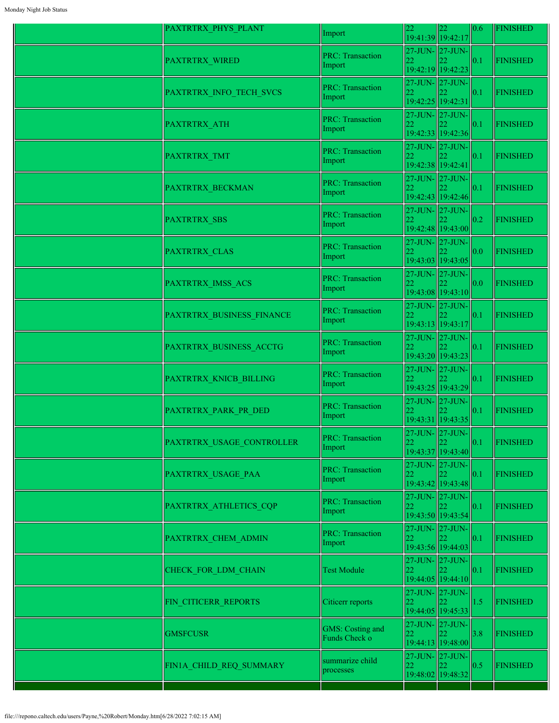| PAXTRTRX_PHYS_PLANT       | Import                                   | 22 | 22<br>19:41:39 19:42:17                          | 0.6 | <b>FINISHED</b> |
|---------------------------|------------------------------------------|----|--------------------------------------------------|-----|-----------------|
| PAXTRTRX_WIRED            | <b>PRC: Transaction</b><br>Import        | 22 | 27-JUN-27-JUN-<br>19:42:19 19:42:23              | 0.1 | <b>FINISHED</b> |
| PAXTRTRX INFO TECH SVCS   | <b>PRC: Transaction</b><br>Import        | 22 | $27$ -JUN- $\vert$ 27-JUN-<br>19:42:25 19:42:31  | 0.1 | <b>FINISHED</b> |
| <b>PAXTRTRX ATH</b>       | <b>PRC: Transaction</b><br>Import        |    | $27$ -JUN- $27$ -JUN-<br>19:42:33 19:42:36       | 0.1 | <b>FINISHED</b> |
| PAXTRTRX TMT              | <b>PRC: Transaction</b><br>Import        | 22 | 27-JUN-27-JUN-<br>19:42:38 19:42:41              | 0.1 | <b>FINISHED</b> |
| PAXTRTRX BECKMAN          | <b>PRC: Transaction</b><br>Import        | 22 | 27-JUN-27-JUN-<br>19:42:43 19:42:46              | 0.1 | <b>FINISHED</b> |
| <b>PAXTRTRX SBS</b>       | <b>PRC: Transaction</b><br>Import        | 22 | 27-JUN-27-JUN-<br>19:42:48 19:43:00              | 0.2 | <b>FINISHED</b> |
| PAXTRTRX CLAS             | <b>PRC: Transaction</b><br>Import        |    | 27-JUN- 27-JUN-<br>19:43:03 19:43:05             | 0.0 | <b>FINISHED</b> |
| PAXTRTRX IMSS ACS         | <b>PRC: Transaction</b><br>Import        |    | 27-JUN- 27-JUN-<br>19:43:08 19:43:10             | 0.0 | <b>FINISHED</b> |
| PAXTRTRX BUSINESS FINANCE | <b>PRC: Transaction</b><br>Import        | 22 | $27$ -JUN- $27$ -JUN-<br>19:43:13 19:43:17       | 0.1 | <b>FINISHED</b> |
| PAXTRTRX BUSINESS ACCTG   | <b>PRC: Transaction</b><br>Import        |    | 27-JUN- 27-JUN-<br>19:43:20 19:43:23             | 0.1 | <b>FINISHED</b> |
| PAXTRTRX KNICB BILLING    | <b>PRC: Transaction</b><br>Import        |    | $27$ -JUN- $\vert$ 27-JUN-<br>19:43:25 19:43:29  | 0.1 | <b>FINISHED</b> |
| PAXTRTRX_PARK_PR_DED      | <b>PRC: Transaction</b><br>Import        | 22 | $27$ -JUN- $\vert$ 27-JUN-<br>19:43:31 19:43:35  | 0.1 | <b>FINISHED</b> |
| PAXTRTRX USAGE CONTROLLER | <b>PRC: Transaction</b><br>Import        | 22 | 27-JUN- 27-JUN-<br>19:43:37 19:43:40             | 0.1 | <b>FINISHED</b> |
| PAXTRTRX USAGE PAA        | <b>PRC: Transaction</b><br>Import        |    | $27$ -JUN- $\vert 27$ -JUN-<br>19:43:42 19:43:48 | 0.1 | <b>FINISHED</b> |
| PAXTRTRX_ATHLETICS_CQP    | <b>PRC: Transaction</b><br>Import        | 22 | 27-JUN- 27-JUN-<br>19:43:50 19:43:54             | 0.1 | <b>FINISHED</b> |
| PAXTRTRX_CHEM_ADMIN       | <b>PRC: Transaction</b><br>Import        | 22 | $27$ -JUN- $\vert 27$ -JUN-<br>19:43:56 19:44:03 | 0.1 | <b>FINISHED</b> |
| CHECK FOR LDM CHAIN       | <b>Test Module</b>                       | 22 | $27$ -JUN- $\vert$ 27-JUN-<br>19:44:05 19:44:10  | 0.1 | <b>FINISHED</b> |
| FIN CITICERR REPORTS      | Citicerr reports                         | 22 | $27$ -JUN- $27$ -JUN-<br>19:44:05 19:45:33       | 1.5 | <b>FINISHED</b> |
| <b>GMSFCUSR</b>           | <b>GMS: Costing and</b><br>Funds Check o | 22 | $27$ -JUN- $27$ -JUN-<br>19:44:13 19:48:00       | 3.8 | <b>FINISHED</b> |
| FIN1A_CHILD_REQ_SUMMARY   | summarize child<br>processes             | 22 | 27-JUN-27-JUN-<br>19:48:02 19:48:32              | 0.5 | <b>FINISHED</b> |
|                           |                                          |    |                                                  |     |                 |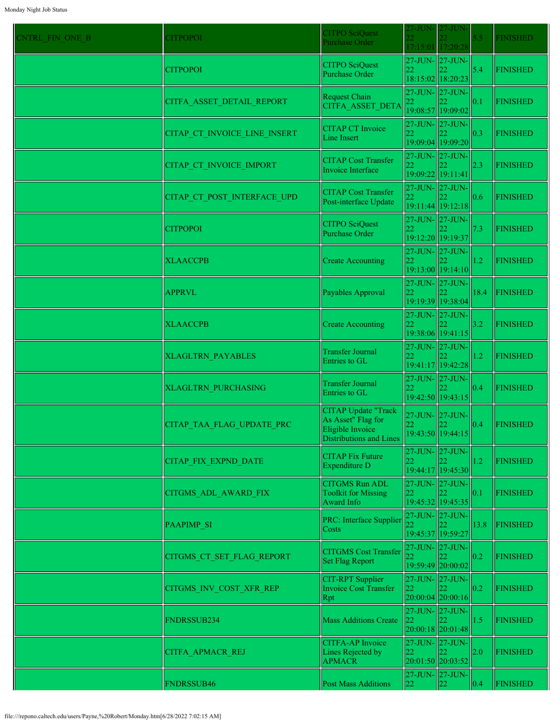| <b>CNTRL FIN ONE B</b> | <b>CITPOPOI</b>              | <b>CITPO SciQuest</b><br>Purchase Order                                                                | 27-JUN-                          | 27-JUN<br>17:15:01 17:20:28                       | 5.5  | <b>FINISHED</b> |
|------------------------|------------------------------|--------------------------------------------------------------------------------------------------------|----------------------------------|---------------------------------------------------|------|-----------------|
|                        | <b>CITPOPOI</b>              | <b>CITPO SciQuest</b><br>Purchase Order                                                                | 22                               | $27$ -JUN- $\vert$ 27-JUN-<br>18:15:02 18:20:23   | 5.4  | <b>FINISHED</b> |
|                        | CITFA ASSET DETAIL REPORT    | Request Chain<br>CITFA ASSET DETA                                                                      | 22                               | 27-JUN- 27-JUN-<br>19:08:57 19:09:02              | 0.1  | <b>FINISHED</b> |
|                        | CITAP CT INVOICE LINE INSERT | <b>CITAP CT Invoice</b><br><b>Line Insert</b>                                                          | 22                               | 27-JUN- 27-JUN-<br>19:09:04 19:09:20              | 0.3  | FINISHED        |
|                        | CITAP CT INVOICE IMPORT      | <b>CITAP Cost Transfer</b><br>Invoice Interface                                                        | 22                               | $27$ -JUN- $\vert 27$ -JUN-<br>19:09:22 19:11:41  | 2.3  | <b>FINISHED</b> |
|                        | CITAP_CT_POST_INTERFACE_UPD  | <b>CITAP Cost Transfer</b><br>Post-interface Update                                                    | 22                               | $27$ -JUN- $27$ -JUN-<br>19:11:44 19:12:18        | 0.6  | <b>FINISHED</b> |
|                        | <b>CITPOPOI</b>              | <b>CITPO SciQuest</b><br>Purchase Order                                                                | 27-JUN- 27-JUN-<br>22            | 19:12:20 19:19:37                                 | 7.3  | <b>FINISHED</b> |
|                        | <b>XLAACCPB</b>              | <b>Create Accounting</b>                                                                               | 22                               | 27-JUN- 27-JUN-<br>19:13:00 19:14:10              | 1.2  | FINISHED        |
|                        | <b>APPRVL</b>                | Payables Approval                                                                                      | 22                               | $27$ -JUN- $\vert 27$ -JUN-<br>19:19:39 19:38:04  | 18.4 | FINISHED        |
|                        | <b>XLAACCPB</b>              | <b>Create Accounting</b>                                                                               | 22                               | $27$ -JUN- $\vert 27$ -JUN-<br>19:38:06 19:41:15  | 3.2  | <b>FINISHED</b> |
|                        | <b>XLAGLTRN PAYABLES</b>     | <b>Transfer Journal</b><br>Entries to GL                                                               | 22                               | $27$ -JUN- $27$ -JUN-<br>19:41:17 19:42:28        | 1.2  | <b>FINISHED</b> |
|                        | <b>XLAGLTRN PURCHASING</b>   | <b>Transfer Journal</b><br>Entries to GL                                                               |                                  | $27$ -JUN- $\ 27$ -JUN-<br>19:42:50 19:43:15      | 0.4  | <b>FINISHED</b> |
|                        | CITAP TAA FLAG UPDATE PRC    | <b>CITAP Update "Track</b><br>As Asset" Flag for<br>Eligible Invoice<br><b>Distributions and Lines</b> | $27$ -JUN- $\vert$ 27-JUN-<br>22 | $\ 22$<br>19:43:50 19:44:15                       | 0.4  | FINISHED        |
|                        | CITAP FIX EXPND DATE         | <b>CITAP Fix Future</b><br>Expenditure D                                                               | 27-JUN- 27-JUN-<br>22            | 19:44:17 19:45:30                                 | 1.2  | <b>FINISHED</b> |
|                        | CITGMS_ADL_AWARD_FIX         | <b>CITGMS Run ADL</b><br><b>Toolkit for Missing</b><br>Award Info                                      | 22                               | 27-JUN- 27-JUN-<br>19:45:32 19:45:35              | 0.1  | <b>FINISHED</b> |
|                        | <b>PAAPIMP SI</b>            | <b>PRC:</b> Interface Supplier<br>Costs                                                                | 27-JUN- 27-JUN-                  | 19:45:37 19:59:27                                 | 13.8 | <b>FINISHED</b> |
|                        | CITGMS CT SET FLAG REPORT    | <b>CITGMS Cost Transfer</b><br>Set Flag Report                                                         |                                  | 27-JUN- 27-JUN-<br>19:59:49 20:00:02              | 0.2  | FINISHED        |
|                        | CITGMS INV COST XFR REP      | <b>CIT-RPT</b> Supplier<br>Invoice Cost Transfer<br> Rpt                                               | 22                               | $27$ -JUN- $\vert 27$ -JUN-<br> 20:00:04 20:00:16 | 0.2  | <b>FINISHED</b> |
|                        | FNDRSSUB234                  | <b>Mass Additions Create</b>                                                                           | 27-JUN-27-JUN-<br>22             | 20:00:18 20:01:48                                 | 1.5  | <b>FINISHED</b> |
|                        | CITFA APMACR REJ             | CITFA-AP Invoice<br>Lines Rejected by<br><b>APMACR</b>                                                 | 22                               | $27$ -JUN- $\vert 27$ -JUN-<br>20:01:50 20:03:52  | 2.0  | <b>FINISHED</b> |
|                        | FNDRSSUB46                   | <b>Post Mass Additions</b>                                                                             | 22                               | $27$ -JUN- $\vert 27$ -JUN-<br>22                 | 0.4  | <b>FINISHED</b> |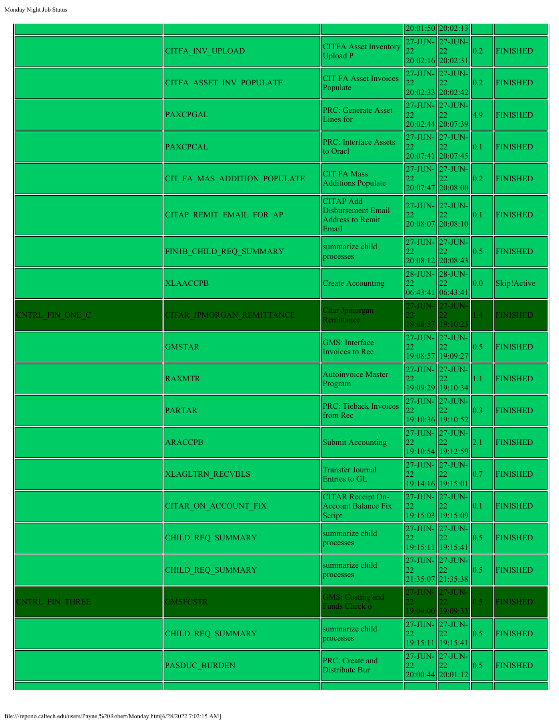|                        |                              |                                                                            |                                            | 20:01:50 20:02:13                                |     |                 |
|------------------------|------------------------------|----------------------------------------------------------------------------|--------------------------------------------|--------------------------------------------------|-----|-----------------|
|                        | <b>CITFA INV UPLOAD</b>      | <b>CITFA Asset Inventory</b><br>Upload P                                   | 20:02:16 20:02:31                          | 27-JUN- 27-JUN-                                  | 0.2 | <b>FINISHED</b> |
|                        | CITFA ASSET INV POPULATE     | <b>CIT FA Asset Invoices</b><br>Populate                                   | 27-JUN- 27-JUN-                            | 20:02:33 20:02:42                                | 0.2 | <b>FINISHED</b> |
|                        | <b>PAXCPGAL</b>              | <b>PRC: Generate Asset</b><br>Lines for                                    | 22                                         | 27-JUN- 27-JUN-<br>20:02:44 20:07:39             | 4.9 | <b>FINISHED</b> |
|                        | <b>PAXCPCAL</b>              | <b>PRC: Interface Assets</b><br>to Oracl                                   | 27-JUN-27-JUN-<br>22                       | 20:07:41 20:07:45                                | 0.1 | <b>FINISHED</b> |
|                        | CIT FA MAS ADDITION POPULATE | <b>CIT FA Mass</b><br>Additions Populate                                   | 22                                         | 27-JUN- 27-JUN-<br>20:07:47 20:08:00             | 0.2 | <b>FINISHED</b> |
|                        | CITAP REMIT EMAIL FOR AP     | <b>CITAP Add</b><br>Disbursement Email<br><b>Address to Remit</b><br>Email | 27-JUN-27-JUN-<br>22                       | 20:08:07 20:08:10                                | 0.1 | <b>FINISHED</b> |
|                        | FIN1B_CHILD_REQ_SUMMARY      | summarize child<br>processes                                               | 27-JUN- 27-JUN-<br>22                      | 20:08:12 20:08:43                                | 0.5 | <b>FINISHED</b> |
|                        | <b>XLAACCPB</b>              | <b>Create Accounting</b>                                                   | 28-JUN- 28-JUN-<br>22<br>06:43:41 06:43:41 |                                                  | 0.0 | Skip!Active     |
| CNTRL FIN ONE C        | CITAR JPMORGAN REMITTANCE    | Citar Jpmorgan<br>Remittance                                               | 22.                                        | 27-JUN- 27-JUN-<br>19:08:57 19:10:23             | 1.4 | <b>FINISHED</b> |
|                        | <b>GMSTAR</b>                | <b>GMS</b> : Interface<br>Invoices to Rec                                  | 22                                         | 27-JUN- 27-JUN-<br>19:08:57 19:09:27             | 0.5 | <b>FINISHED</b> |
|                        | <b>RAXMTR</b>                | Autoinvoice Master<br>Program                                              | 27-JUN- 27-JUN-<br>22                      | 19:09:29 19:10:34                                | 1.1 | <b>FINISHED</b> |
|                        | <b>PARTAR</b>                | <b>PRC: Tieback Invoices</b><br>from Rec                                   | 22                                         | 27-JUN- 27-JUN-<br>19:10:36 19:10:52             | 0.3 | <b>FINISHED</b> |
|                        | <b>ARACCPB</b>               | Submit Accounting                                                          | 22                                         | 19:10:54 19:12:59                                | 2.1 | <b>FINISHED</b> |
|                        | <b>XLAGLTRN RECVBLS</b>      | <b>Transfer Journal</b><br>Entries to GL                                   | 22                                         | 27-JUN- 27-JUN-<br>19:14:16 19:15:01             | 0.7 | <b>FINISHED</b> |
|                        | <b>CITAR ON ACCOUNT FIX</b>  | <b>CITAR Receipt On-</b><br><b>Account Balance Fix</b><br>Script           | 27-JUN- 27-JUN-<br>22                      | 19:15:03 19:15:09                                | 0.1 | <b>FINISHED</b> |
|                        | CHILD REQ SUMMARY            | summarize child<br>processes                                               | 22                                         | 27-JUN- 27-JUN-<br>19:15:11 19:15:41             | 0.5 | <b>FINISHED</b> |
|                        | CHILD REQ SUMMARY            | summarize child<br>processes                                               | 22                                         | $27$ -JUN- $\vert 27$ -JUN-<br>21:35:07 21:35:38 | 0.5 | <b>FINISHED</b> |
| <b>ENTRL FIN THREE</b> | <b>GMSFCSTR</b>              | GMS: Costing and<br>Funds Check o                                          | 27-JUN- 27-JUN-                            | 19:09:00 19:09:33                                | 0.5 | <b>INISHED</b>  |
|                        | CHILD REQ SUMMARY            | summarize child<br>processes                                               | 22                                         | 27-JUN- 27-JUN-<br>122<br>19:15:11 19:15:41      | 0.5 | <b>FINISHED</b> |
|                        | PASDUC BURDEN                | PRC: Create and<br>Distribute Bur                                          | 22                                         | 27-JUN- 27-JUN-<br>22.<br>$20:00:44$ 20:01:12    | 0.5 | <b>FINISHED</b> |
|                        |                              |                                                                            |                                            |                                                  |     |                 |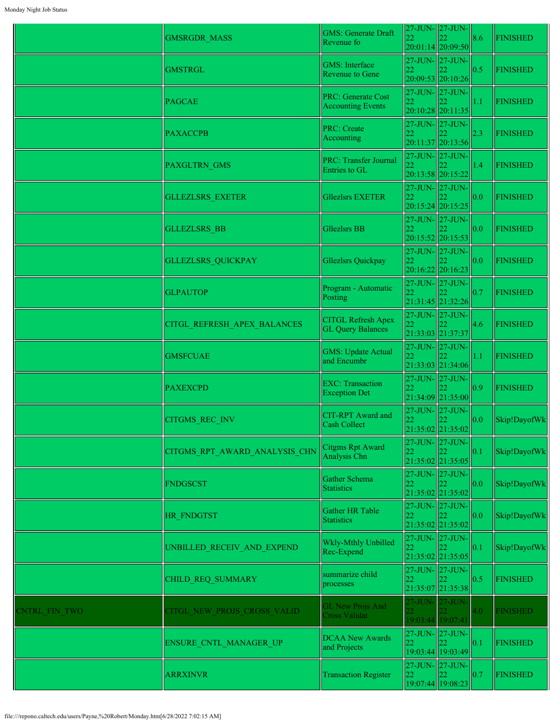|                      | <b>GMSRGDR MASS</b>           | <b>GMS: Generate Draft</b><br>Revenue fo              | 22              | 27-JUN- 27-JUN-<br>$20:01:14$ 20:09:50           | 8.6 | <b>FINISHED</b> |
|----------------------|-------------------------------|-------------------------------------------------------|-----------------|--------------------------------------------------|-----|-----------------|
|                      | <b>GMSTRGL</b>                | <b>GMS</b> : Interface<br><b>Revenue to Gene</b>      | 22              | 27-JUN-27-JUN-<br>20:09:53 20:10:26              | 0.5 | <b>FINISHED</b> |
|                      | <b>PAGCAE</b>                 | <b>PRC: Generate Cost</b><br><b>Accounting Events</b> | 22              | 27-JUN-27-JUN-<br>20:10:28 20:11:35              | 1.1 | <b>FINISHED</b> |
|                      | <b>PAXACCPB</b>               | <b>PRC: Create</b><br>Accounting                      | 22              | 27-JUN-27-JUN-<br>20:11:37 20:13:56              | 2.3 | <b>FINISHED</b> |
|                      | <b>PAXGLTRN GMS</b>           | <b>PRC: Transfer Journal</b><br>Entries to GL         | 22              | 27-JUN- 27-JUN-<br>20:13:58 20:15:22             | 1.4 | <b>FINISHED</b> |
|                      | <b>GLLEZLSRS_EXETER</b>       | <b>Gllezlsrs EXETER</b>                               | 22              | $27$ -JUN- $\vert 27$ -JUN-<br>20:15:24 20:15:25 | 0.0 | <b>FINISHED</b> |
|                      | <b>GLLEZLSRS BB</b>           | Gllezlsrs BB                                          | 22              | 27-JUN-27-JUN-<br>20:15:52 20:15:53              | 0.0 | <b>FINISHED</b> |
|                      | <b>GLLEZLSRS QUICKPAY</b>     | Gllezlsrs Quickpay                                    | 22              | 27-JUN-27-JUN-<br>20:16:22 20:16:23              | 0.0 | <b>FINISHED</b> |
|                      | <b>GLPAUTOP</b>               | Program - Automatic<br>Posting                        | 22              | 27-JUN- 27-JUN-<br>21:31:45 21:32:26             | 0.7 | <b>FINISHED</b> |
|                      | CITGL REFRESH APEX BALANCES   | <b>CITGL Refresh Apex</b><br><b>GL Query Balances</b> | 22              | 27-JUN-27-JUN-<br>21:33:03 21:37:37              | 4.6 | <b>FINISHED</b> |
|                      | <b>GMSFCUAE</b>               | <b>GMS: Update Actual</b><br>and Encumbr              |                 | 27-JUN-27-JUN-<br>21:33:03 21:34:06              | 1.1 | <b>FINISHED</b> |
|                      | <b>PAXEXCPD</b>               | <b>EXC: Transaction</b><br><b>Exception Det</b>       | 22              | 27-JUN-27-JUN-<br>21:34:09 21:35:00              | 0.9 | <b>FINISHED</b> |
|                      | CITGMS_REC_INV                | <b>CIT-RPT</b> Award and<br>Cash Collect              |                 | 27-JUN- 27-JUN-<br>21:35:02 21:35:02             | 0.0 | Skip!DayofWk    |
|                      | CITGMS RPT AWARD ANALYSIS CHN | Citgms Rpt Award<br>Analysis Chn                      | 22              | 27-JUN- 27-JUN-<br>21:35:02 21:35:05             | 0.1 | Skip!DayofWk    |
|                      | <b>FNDGSCST</b>               | Gather Schema<br><b>Statistics</b>                    | 22              | 27-JUN-27-JUN-<br>21:35:02 21:35:02              | 0.0 | Skip!DayofWk    |
|                      | HR FNDGTST                    | Gather HR Table<br><b>Statistics</b>                  | 22              | 27-JUN-27-JUN-<br>21:35:02 21:35:02              | 0.0 | Skip!DayofWk    |
|                      | UNBILLED RECEIV AND EXPEND    | Wkly-Mthly Unbilled<br>Rec-Expend                     | 22              | 27-JUN- 27-JUN-<br>21:35:02 21:35:05             | 0.1 | Skip!DayofWk    |
|                      | CHILD REQ SUMMARY             | summarize child<br>processes                          | 22              | $27$ -JUN- $27$ -JUN-<br>22<br>21:35:07 21:35:38 | 0.5 | <b>FINISHED</b> |
| <b>CNTRL FIN TWO</b> | CITGL NEW PROJS CROSS VALID   | <b>GL New Projs And</b><br><b>Cross Validat</b>       | 27-JUN- 27-JUN- | 19:03:44 19:07:41                                | 4.0 | <b>FINISHED</b> |
|                      | <b>ENSURE CNTL MANAGER UP</b> | <b>DCAA New Awards</b><br>and Projects                | 22              | 27-JUN- 27-JUN-<br>19:03:44 19:03:49             | 0.1 | <b>FINISHED</b> |
|                      | <b>ARRXINVR</b>               | <b>Transaction Register</b>                           | 22              | 27-JUN-27-JUN-<br>22<br>19:07:44 19:08:23        | 0.7 | <b>FINISHED</b> |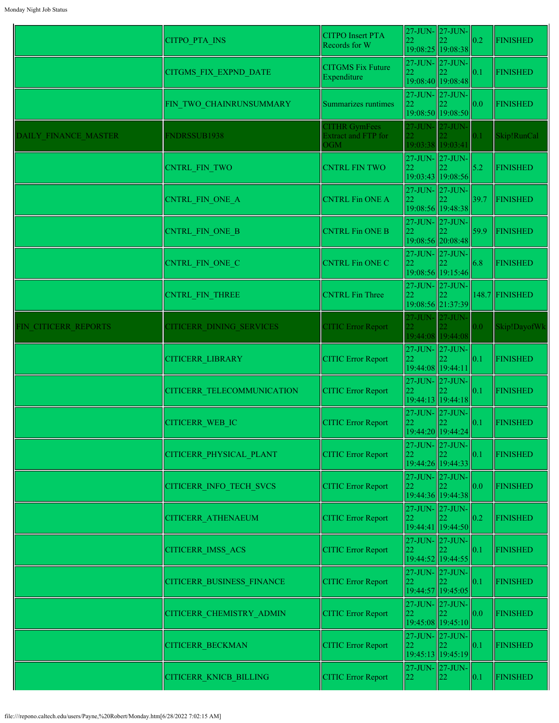|                      | <b>CITPO PTA INS</b>              | <b>CITPO</b> Insert PTA<br>Records for W                  | 22                                         | 27-JUN- 27-JUN-<br>19:08:25 19:08:38                                               | 0.2  | <b>FINISHED</b> |
|----------------------|-----------------------------------|-----------------------------------------------------------|--------------------------------------------|------------------------------------------------------------------------------------|------|-----------------|
|                      | <b>CITGMS FIX EXPND DATE</b>      | <b>CITGMS Fix Future</b><br>Expenditure                   |                                            | 27-JUN- 27-JUN-<br>19:08:40 19:08:48                                               | 0.1  | <b>FINISHED</b> |
|                      | FIN TWO CHAINRUNSUMMARY           | Summarizes runtimes                                       | 27-JUN-27-JUN-<br>22                       | 19:08:50 19:08:50                                                                  | 0.0  | <b>FINISHED</b> |
| DAILY FINANCE MASTER | FNDRSSUB1938                      | <b>CITHR GymFees</b><br><b>Extract and FTP for</b><br>OGM | 27-JUN- 27-JUN-                            | 19:03:38 19:03:41                                                                  | 0.1  | Skip!RunCal     |
|                      | <b>CNTRL FIN TWO</b>              | <b>CNTRL FIN TWO</b>                                      | 22                                         | 27-JUN- 27-JUN-<br>19:03:43 19:08:56                                               | 5.2  | <b>FINISHED</b> |
|                      | CNTRL_FIN_ONE_A                   | <b>CNTRL Fin ONE A</b>                                    | 27-JUN- 27-JUN-<br>22                      | 19:08:56 19:48:38                                                                  | 39.7 | FINISHED        |
|                      | CNTRL_FIN_ONE_B                   | <b>CNTRL Fin ONE B</b>                                    | 22                                         | 27-JUN- 27-JUN-<br>19:08:56 20:08:48                                               | 59.9 | FINISHED        |
|                      | <b>CNTRL FIN ONE C</b>            | <b>CNTRL Fin ONE C</b>                                    | 27-JUN- 27-JUN-<br>22                      | 19:08:56 19:15:46                                                                  | 6.8  | <b>FINISHED</b> |
|                      | CNTRL FIN THREE                   | <b>CNTRL Fin Three</b>                                    | 27-JUN-27-JUN-<br>22                       | 19:08:56 21:37:39                                                                  |      | 148.7 FINISHED  |
| FIN CITICERR REPORTS | <b>CITICERR DINING SERVICES</b>   | <b>CITIC Error Report</b>                                 |                                            | $27$ -JUN- $ 27$ -JUN-<br>19:44:08 19:44:08                                        | 0.0  | Skip!DayofWk    |
|                      | <b>CITICERR LIBRARY</b>           | <b>CITIC Error Report</b>                                 | 27-JUN- 27-JUN-<br>22<br>19:44:08 19:44:11 |                                                                                    | 0.1  | <b>FINISHED</b> |
|                      | <b>CITICERR TELECOMMUNICATION</b> | <b>CITIC Error Report</b>                                 | 27-JUN- 27-JUN-<br>22                      | 19:44:13 19:44:18                                                                  | 0.1  | <b>FINISHED</b> |
|                      | <b>CITICERR WEB IC</b>            | <b>CITIC Error Report</b>                                 |                                            | 27-JUN- 27-JUN-<br>$\begin{array}{c c} 22 & 22 \\ 19:44:20 & 19:44:24 \end{array}$ | 0.1  | <b>FINISHED</b> |
|                      | CITICERR PHYSICAL PLANT           | <b>CITIC Error Report</b>                                 | 27-JUN- 27-JUN-<br>22                      | 19:44:26 19:44:33                                                                  | 0.1  | <b>FINISHED</b> |
|                      | <b>CITICERR INFO TECH SVCS</b>    | <b>CITIC Error Report</b>                                 | 27-JUN- 27-JUN-<br>22                      | 19:44:36 19:44:38                                                                  | 0.0  | <b>FINISHED</b> |
|                      | <b>CITICERR ATHENAEUM</b>         | <b>CITIC Error Report</b>                                 | 27-JUN- 27-JUN-<br>22                      | 19:44:41 19:44:50                                                                  | 0.2  | <b>FINISHED</b> |
|                      | <b>CITICERR IMSS ACS</b>          | <b>CITIC Error Report</b>                                 | 27-JUN- 27-JUN-<br>22                      | 19:44:52 19:44:55                                                                  | 0.1  | <b>FINISHED</b> |
|                      | <b>CITICERR BUSINESS FINANCE</b>  | <b>CITIC Error Report</b>                                 | 27-JUN- 27-JUN-<br>22                      | 19:44:57 19:45:05                                                                  | 0.1  | <b>FINISHED</b> |
|                      | CITICERR CHEMISTRY ADMIN          | <b>CITIC Error Report</b>                                 | 27-JUN- 27-JUN-<br>22                      | 19:45:08 19:45:10                                                                  | 0.0  | <b>FINISHED</b> |
|                      | <b>CITICERR BECKMAN</b>           | <b>CITIC Error Report</b>                                 | 27-JUN-27-JUN-<br>22                       | 19:45:13 19:45:19                                                                  | 0.1  | <b>FINISHED</b> |
|                      | CITICERR_KNICB_BILLING            | <b>CITIC Error Report</b>                                 | 27-JUN- 27-JUN-<br>22                      | $\ 22\ $                                                                           | 0.1  | <b>FINISHED</b> |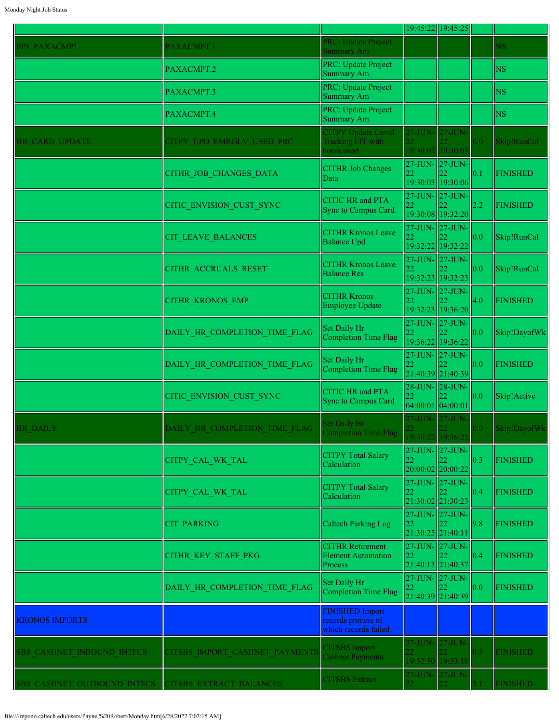|                             |                                |                                                                      |                           | 19:45:22 19:45:25                                  |                  |                 |
|-----------------------------|--------------------------------|----------------------------------------------------------------------|---------------------------|----------------------------------------------------|------------------|-----------------|
| <b>FIN PAXACMPT</b>         | PAXACMPT.1                     | PRC: Update Project<br>Summary Am                                    |                           |                                                    |                  | NS              |
|                             | PAXACMPT.2                     | PRC: Update Project<br><b>Summary Am</b>                             |                           |                                                    |                  | <b>NS</b>       |
|                             | PAXACMPT.3                     | PRC: Update Project<br>Summary Am                                    |                           |                                                    |                  | <b>NS</b>       |
|                             | PAXACMPT.4                     | PRC: Update Project<br><b>Summary Am</b>                             |                           |                                                    |                  | <b>NS</b>       |
| HR CARD UPDATE              | CITPY UPD EMRGLV USED PRC      | <b>CITPY Update Covid</b><br><b>Tracking EIT with</b><br>hours used  | $27$ -JUN-<br>19:30:02    | $27$ -JUN- $\vert$<br>19:30:03                     | 0.0 <sub>1</sub> | Skip!RunCal     |
|                             | CITHR JOB CHANGES DATA         | <b>CITHR Job Changes</b><br>Data                                     | 22                        | $27$ -JUN- $27$ -JUN-<br>19:30:03 19:30:06         | 0.1              | <b>FINISHED</b> |
|                             | CITIC ENVISION CUST SYNC       | <b>CITIC HR and PTA</b><br><b>Sync to Campus Card</b>                | 22                        | 27-JUN- 27-JUN-<br>19:30:08 19:32:20               | 2.2              | <b>FINISHED</b> |
|                             | CIT LEAVE BALANCES             | <b>CITHR Kronos Leave</b><br><b>Balance Upd</b>                      | 22                        | 27-JUN- 27-JUN-<br>19:32:22 19:32:22               | 0.0              | Skip!RunCal     |
|                             | CITHR ACCRUALS RESET           | <b>CITHR Kronos Leave</b><br><b>Balance Res</b>                      | 22                        | 27-JUN- 27-JUN-<br>19:32:23 19:32:23               | 0.0              | Skip!RunCal     |
|                             | <b>CITHR KRONOS EMP</b>        | <b>CITHR Kronos</b><br>Employee Update                               | $27-JUN-$<br>22           | $27-JUN-$<br>19:32:23 19:36:20                     | 4.0              | <b>FINISHED</b> |
|                             | DAILY HR COMPLETION TIME FLAG  | Set Daily Hr<br>Completion Time Flag                                 | 22                        | $27$ -JUN- $ 27$ -JUN- $ $<br>19:36:22 19:36:22    | 0.0              | Skip!DayofWk    |
|                             | DAILY HR COMPLETION TIME FLAG  | Set Daily Hr<br>Completion Time Flag                                 | 22                        | 27-JUN- 27-JUN-<br>21:40:39 21:40:39               | 0.0              | <b>FINISHED</b> |
|                             | CITIC ENVISION CUST SYNC       | <b>CITIC HR and PTA</b><br><b>Sync to Campus Card</b>                | 22<br>$04:00:01$ 04:00:01 | 28-JUN- 28-JUN-<br>22                              | 0.0              | Skip!Active     |
| <b>HR DAILY</b>             | DAILY_HR_COMPLETION_TIME_FLAG  | Set Daily Hr<br>Completion Time Flag                                 | 27-JUN-                   | $27 - JUN -$<br>19:36:22 19:36:22                  | $0.0 -$          | Skip!DayofWk    |
|                             | CITPY_CAL_WK_TAL               | <b>CITPY Total Salary</b><br>Calculation                             | 22                        | $27$ -JUN- $27$ -JUN-<br>22<br>$20:00:02$ 20:00:22 | 0.3              | <b>FINISHED</b> |
|                             | CITPY_CAL_WK_TAL               | <b>CITPY Total Salary</b><br>Calculation                             | 22                        | 27-JUN- 27-JUN-<br>22<br>21:30:02 21:30:23         | 0.4              | <b>FINISHED</b> |
|                             | <b>CIT PARKING</b>             | <b>Caltech Parking Log</b>                                           | 22                        | 27-JUN- 27-JUN-<br>22<br>21:30:25 21:40:11         | 9.8              | <b>FINISHED</b> |
|                             | CITHR_KEY_STAFF_PKG            | <b>CITHR Retirement</b><br><b>Element Automation</b><br>Process      | 22                        | 27-JUN- 27-JUN-<br>22<br>21:40:13 21:40:37         | 0.4              | <b>FINISHED</b> |
|                             | DAILY HR COMPLETION TIME FLAG  | Set Daily Hr<br>Completion Time Flag                                 | 22                        | 27-JUN-27-JUN-<br>22<br>21:40:39 21:40:39          | 0.0              | <b>FINISHED</b> |
| <b>KRONOS IMPORTS</b>       |                                | <b>FINISHED Import</b><br>records process of<br>which records failed |                           |                                                    |                  |                 |
| SBS CASHNET INBOUND INTFCS  | CITSBS IMPORT CASHNET PAYMENTS | <b>TITSBS</b> Import<br>Cashnet Payments                             | 27-JUN-                   | $27 - JUN -$<br>19:32:50 19:33:19                  | 0.5              | <b>FINISHED</b> |
| SBS CASHNET OUTBOUND INTFCS | CITSBS EXTRACT BALANCES        | <b>CITSBS</b> Extract                                                | 27-JUN-                   | $27-JUN-$                                          |                  | <b>FINISHED</b> |